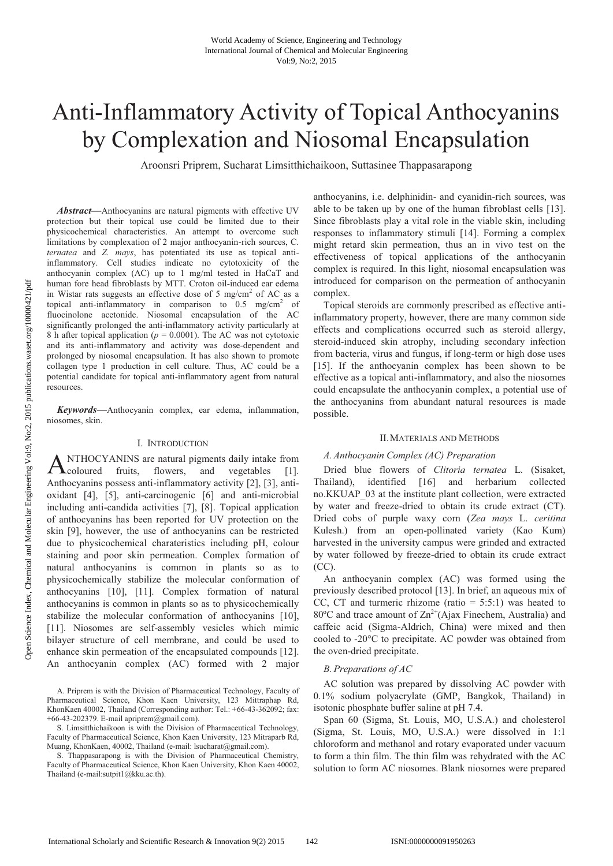# Anti-Inflammatory Activity of Topical Anthocyanins by Complexation and Niosomal Encapsulation

Aroonsri Priprem, Sucharat Limsitthichaikoon, Suttasinee Thappasarapong

*Abstract***—**Anthocyanins are natural pigments with effective UV protection but their topical use could be limited due to their physicochemical characteristics. An attempt to overcome such limitations by complexation of 2 major anthocyanin-rich sources, C*. ternatea* and *Z. mays*, has potentiated its use as topical antiinflammatory. Cell studies indicate no cytotoxicity of the anthocyanin complex (AC) up to 1 mg/ml tested in HaCaT and human fore head fibroblasts by MTT. Croton oil-induced ear edema in Wistar rats suggests an effective dose of 5 mg/cm<sup>2</sup> of AC as a topical anti-inflammatory in comparison to  $0.5 \text{ mg/cm}^2$  of fluocinolone acetonide. Niosomal encapsulation of the AC significantly prolonged the anti-inflammatory activity particularly at 8 h after topical application ( $p = 0.0001$ ). The AC was not cytotoxic and its anti-inflammatory and activity was dose-dependent and prolonged by niosomal encapsulation. It has also shown to promote collagen type 1 production in cell culture. Thus, AC could be a potential candidate for topical anti-inflammatory agent from natural resources.

*Keywords***—**Anthocyanin complex, ear edema, inflammation, niosomes, skin.

## I. INTRODUCTION

NTHOCYANINS are natural pigments daily intake from ANTHOCYANINS are natural pigments daily intake from<br>flowers, and vegetables [1]. Anthocyanins possess anti-inflammatory activity [2], [3], antioxidant [4], [5], anti-carcinogenic [6] and anti-microbial including anti-candida activities [7], [8]. Topical application of anthocyanins has been reported for UV protection on the skin [9], however, the use of anthocyanins can be restricted due to physicochemical charateristics including pH, colour staining and poor skin permeation. Complex formation of natural anthocyanins is common in plants so as to physicochemically stabilize the molecular conformation of anthocyanins [10], [11]. Complex formation of natural anthocyanins is common in plants so as to physicochemically stabilize the molecular conformation of anthocyanins [10], [11]. Niosomes are self-assembly vesicles which mimic bilayer structure of cell membrane, and could be used to enhance skin permeation of the encapsulated compounds [12]. An anthocyanin complex (AC) formed with 2 major

A. Priprem is with the Division of Pharmaceutical Technology, Faculty of Pharmaceutical Science, Khon Kaen University, 123 Mittraphap Rd, KhonKaen 40002, Thailand (Corresponding author: Tel.: +66-43-362092; fax: +66-43-202379. E-mail apriprem@gmail.com).

S. Limsitthichaikoon is with the Division of Pharmaceutical Technology, Faculty of Pharmaceutical Science, Khon Kaen University, 123 Mitraparb Rd, Muang, KhonKaen, 40002, Thailand (e-mail: lsucharat@gmail.com).

S. Thappasarapong is with the Division of Pharmaceutical Chemistry, Faculty of Pharmaceutical Science, Khon Kaen University, Khon Kaen 40002, Thailand (e-mail:sutpit1@kku.ac.th).

anthocyanins, i.e. delphinidin- and cyanidin-rich sources, was able to be taken up by one of the human fibroblast cells [13]. Since fibroblasts play a vital role in the viable skin, including responses to inflammatory stimuli [14]. Forming a complex might retard skin permeation, thus an in vivo test on the effectiveness of topical applications of the anthocyanin complex is required. In this light, niosomal encapsulation was introduced for comparison on the permeation of anthocyanin complex.

Topical steroids are commonly prescribed as effective antiinflammatory property, however, there are many common side effects and complications occurred such as steroid allergy, steroid-induced skin atrophy, including secondary infection from bacteria, virus and fungus, if long-term or high dose uses [15]. If the anthocyanin complex has been shown to be effective as a topical anti-inflammatory, and also the niosomes could encapsulate the anthocyanin complex, a potential use of the anthocyanins from abundant natural resources is made possible.

## II.MATERIALS AND METHODS

## *A.Anthocyanin Complex (AC) Preparation*

Dried blue flowers of *Clitoria ternatea* L. (Sisaket, Thailand), identified [16] and herbarium collected no.KKUAP\_03 at the institute plant collection, were extracted by water and freeze-dried to obtain its crude extract (CT). Dried cobs of purple waxy corn (*Zea mays* L. *ceritina* Kulesh.) from an open-pollinated variety (Kao Kum) harvested in the university campus were grinded and extracted by water followed by freeze-dried to obtain its crude extract (CC).

An anthocyanin complex (AC) was formed using the previously described protocol [13]. In brief, an aqueous mix of CC, CT and turmeric rhizome (ratio  $= 5:5:1$ ) was heated to 80 $^{\circ}$ C and trace amount of  $\text{Zn}^{2+}$ (Ajax Finechem, Australia) and caffeic acid (Sigma-Aldrich, China) were mixed and then cooled to -20°C to precipitate. AC powder was obtained from the oven-dried precipitate.

## *B.Preparations of AC*

AC solution was prepared by dissolving AC powder with 0.1% sodium polyacrylate (GMP, Bangkok, Thailand) in isotonic phosphate buffer saline at pH 7.4.

Span 60 (Sigma, St. Louis, MO, U.S.A.) and cholesterol (Sigma, St. Louis, MO, U.S.A.) were dissolved in 1:1 chloroform and methanol and rotary evaporated under vacuum to form a thin film. The thin film was rehydrated with the AC solution to form AC niosomes. Blank niosomes were prepared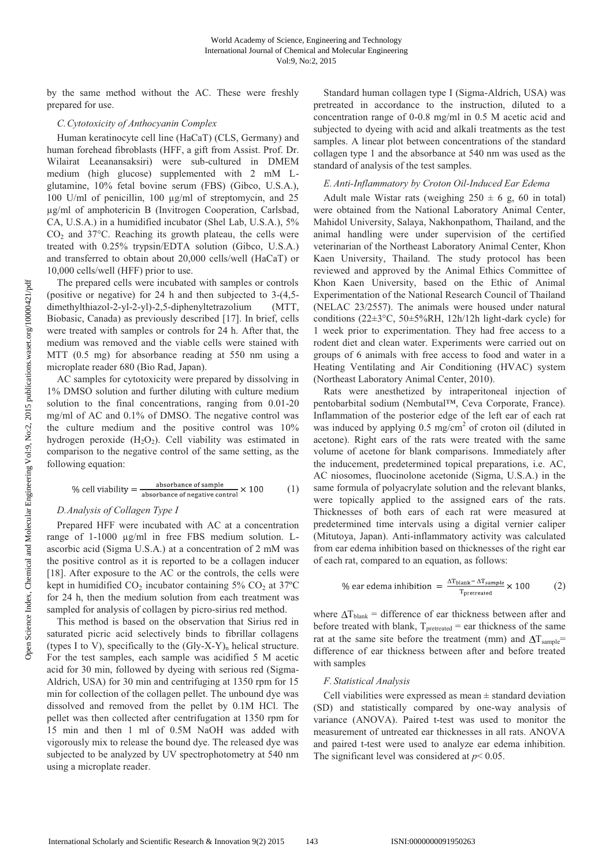by the same method without the AC. These were freshly prepared for use.

### *C.Cytotoxicity of Anthocyanin Complex*

Human keratinocyte cell line (HaCaT) (CLS, Germany) and human forehead fibroblasts (HFF, a gift from Assist. Prof. Dr. Wilairat Leeanansaksiri) were sub-cultured in DMEM medium (high glucose) supplemented with 2 mM Lglutamine, 10% fetal bovine serum (FBS) (Gibco, U.S.A.), 100 U/ml of penicillin, 100 µg/ml of streptomycin, and 25 µg/ml of amphotericin B (Invitrogen Cooperation, Carlsbad, CA, U.S.A.) in a humidified incubator (Shel Lab, U.S.A.), 5%  $CO<sub>2</sub>$  and 37 $\degree$ C. Reaching its growth plateau, the cells were treated with 0.25% trypsin/EDTA solution (Gibco, U.S.A.) and transferred to obtain about 20,000 cells/well (HaCaT) or 10,000 cells/well (HFF) prior to use.

The prepared cells were incubated with samples or controls (positive or negative) for 24 h and then subjected to 3-(4,5 dimethylthiazol-2-yl-2-yl)-2,5-diphenyltetrazolium (MTT, Biobasic, Canada) as previously described [17]. In brief, cells were treated with samples or controls for 24 h. After that, the medium was removed and the viable cells were stained with MTT (0.5 mg) for absorbance reading at 550 nm using a microplate reader 680 (Bio Rad, Japan).

AC samples for cytotoxicity were prepared by dissolving in 1% DMSO solution and further diluting with culture medium solution to the final concentrations, ranging from 0.01-20 mg/ml of AC and 0.1% of DMSO. The negative control was the culture medium and the positive control was 10% hydrogen peroxide  $(H_2O_2)$ . Cell viability was estimated in comparison to the negative control of the same setting, as the following equation:

% cell viability = 
$$
\frac{\text{absorbance of sample}}{\text{absorbance of negative control}} \times 100
$$
 (1)

# *D.Analysis of Collagen Type I*

Prepared HFF were incubated with AC at a concentration range of 1-1000 µg/ml in free FBS medium solution. Lascorbic acid (Sigma U.S.A.) at a concentration of 2 mM was the positive control as it is reported to be a collagen inducer [18]. After exposure to the AC or the controls, the cells were kept in humidified  $CO<sub>2</sub>$  incubator containing  $5\%$  CO<sub>2</sub> at  $37^{\circ}$ C for 24 h, then the medium solution from each treatment was sampled for analysis of collagen by picro-sirius red method.

This method is based on the observation that Sirius red in saturated picric acid selectively binds to fibrillar collagens (types I to V), specifically to the  $(Gly-X-Y)$ <sub>n</sub> helical structure. For the test samples, each sample was acidified 5 M acetic acid for 30 min, followed by dyeing with serious red (Sigma-Aldrich, USA) for 30 min and centrifuging at 1350 rpm for 15 min for collection of the collagen pellet. The unbound dye was dissolved and removed from the pellet by 0.1M HCl. The pellet was then collected after centrifugation at 1350 rpm for 15 min and then 1 ml of 0.5M NaOH was added with vigorously mix to release the bound dye. The released dye was subjected to be analyzed by UV spectrophotometry at 540 nm using a microplate reader.

Standard human collagen type I (Sigma-Aldrich, USA) was pretreated in accordance to the instruction, diluted to a concentration range of 0-0.8 mg/ml in 0.5 M acetic acid and subjected to dyeing with acid and alkali treatments as the test samples. A linear plot between concentrations of the standard collagen type 1 and the absorbance at 540 nm was used as the standard of analysis of the test samples.

#### *E.Anti-Inflammatory by Croton Oil-Induced Ear Edema*

Adult male Wistar rats (weighing  $250 \pm 6$  g, 60 in total) were obtained from the National Laboratory Animal Center, Mahidol University, Salaya, Nakhonpathom, Thailand, and the animal handling were under supervision of the certified veterinarian of the Northeast Laboratory Animal Center, Khon Kaen University, Thailand. The study protocol has been reviewed and approved by the Animal Ethics Committee of Khon Kaen University, based on the Ethic of Animal Experimentation of the National Research Council of Thailand (NELAC 23/2557). The animals were housed under natural conditions (22±3°C, 50±5%RH, 12h/12h light-dark cycle) for 1 week prior to experimentation. They had free access to a rodent diet and clean water. Experiments were carried out on groups of 6 animals with free access to food and water in a Heating Ventilating and Air Conditioning (HVAC) system (Northeast Laboratory Animal Center, 2010).

Rats were anesthetized by intraperitoneal injection of pentobarbital sodium (Nembutal™, Ceva Corporate, France). Inflammation of the posterior edge of the left ear of each rat was induced by applying 0.5 mg/cm<sup>2</sup> of croton oil (diluted in acetone). Right ears of the rats were treated with the same volume of acetone for blank comparisons. Immediately after the inducement, predetermined topical preparations, i.e. AC, AC niosomes, fluocinolone acetonide (Sigma, U.S.A.) in the same formula of polyacrylate solution and the relevant blanks, were topically applied to the assigned ears of the rats. Thicknesses of both ears of each rat were measured at predetermined time intervals using a digital vernier caliper (Mitutoya, Japan). Anti-inflammatory activity was calculated from ear edema inhibition based on thicknesses of the right ear of each rat, compared to an equation, as follows:

% ear edema inhibition = 
$$
\frac{\Delta T_{\text{blank}} - \Delta T_{\text{sample}}}{T_{\text{pretreated}}} \times 100
$$
 (2)

where  $\Delta T_{\text{blank}}$  = difference of ear thickness between after and before treated with blank,  $T_{pretracted} = ear$  thickness of the same rat at the same site before the treatment (mm) and  $\Delta T_{sample}$ = difference of ear thickness between after and before treated with samples

#### *F. Statistical Analysis*

Cell viabilities were expressed as mean  $\pm$  standard deviation (SD) and statistically compared by one-way analysis of variance (ANOVA). Paired t-test was used to monitor the measurement of untreated ear thicknesses in all rats. ANOVA and paired t-test were used to analyze ear edema inhibition. The significant level was considered at *p*< 0.05.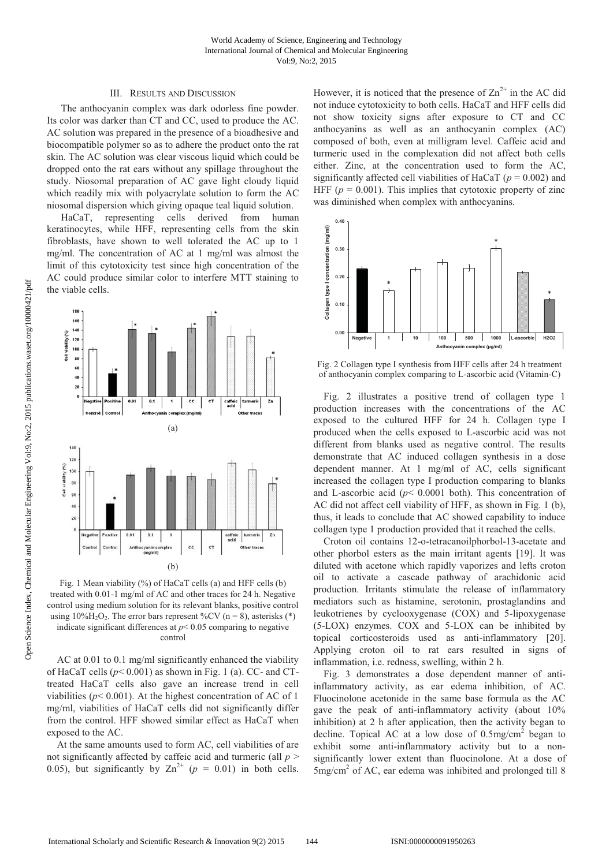## III. RESULTS AND DISCUSSION

The anthocyanin complex was dark odorless fine powder. Its color was darker than CT and CC, used to produce the AC. AC solution was prepared in the presence of a bioadhesive and biocompatible polymer so as to adhere the product onto the rat skin. The AC solution was clear viscous liquid which could be dropped onto the rat ears without any spillage throughout the study. Niosomal preparation of AC gave light cloudy liquid which readily mix with polyacrylate solution to form the AC niosomal dispersion which giving opaque teal liquid solution.

HaCaT, representing cells derived from human keratinocytes, while HFF, representing cells from the skin fibroblasts, have shown to well tolerated the AC up to 1 mg/ml. The concentration of AC at 1 mg/ml was almost the limit of this cytotoxicity test since high concentration of the AC could produce similar color to interfere MTT staining to the viable cells.



Fig. 1 Mean viability (%) of HaCaT cells (a) and HFF cells (b) treated with 0.01-1 mg/ml of AC and other traces for 24 h. Negative control using medium solution for its relevant blanks, positive control using  $10\%$ H<sub>2</sub>O<sub>2</sub>. The error bars represent %CV (n = 8), asterisks (\*) indicate significant differences at  $p < 0.05$  comparing to negative control

AC at 0.01 to 0.1 mg/ml significantly enhanced the viability of HaCaT cells ( $p < 0.001$ ) as shown in Fig. 1 (a). CC- and CTtreated HaCaT cells also gave an increase trend in cell viabilities ( $p$ < 0.001). At the highest concentration of AC of 1 mg/ml, viabilities of HaCaT cells did not significantly differ from the control. HFF showed similar effect as HaCaT when exposed to the AC.

At the same amounts used to form AC, cell viabilities of are not significantly affected by caffeic acid and turmeric (all *p* > 0.05), but significantly by  $Zn^{2+}$  ( $p = 0.01$ ) in both cells.

However, it is noticed that the presence of  $\text{Zn}^{2+}$  in the AC did not induce cytotoxicity to both cells. HaCaT and HFF cells did not show toxicity signs after exposure to CT and CC anthocyanins as well as an anthocyanin complex (AC) composed of both, even at milligram level. Caffeic acid and turmeric used in the complexation did not affect both cells either. Zinc, at the concentration used to form the AC, significantly affected cell viabilities of HaCaT (*p* = 0.002) and HFF ( $p = 0.001$ ). This implies that cytotoxic property of zinc was diminished when complex with anthocyanins.



Fig. 2 Collagen type I synthesis from HFF cells after 24 h treatment of anthocyanin complex comparing to L-ascorbic acid (Vitamin-C)

Fig. 2 illustrates a positive trend of collagen type 1 production increases with the concentrations of the AC exposed to the cultured HFF for 24 h. Collagen type I produced when the cells exposed to L-ascorbic acid was not different from blanks used as negative control. The results demonstrate that AC induced collagen synthesis in a dose dependent manner. At 1 mg/ml of AC, cells significant increased the collagen type I production comparing to blanks and L-ascorbic acid ( $p$ < 0.0001 both). This concentration of AC did not affect cell viability of HFF, as shown in Fig. 1 (b), thus, it leads to conclude that AC showed capability to induce collagen type 1 production provided that it reached the cells.

Croton oil contains 12-o-tetracanoilphorbol-13-acetate and other phorbol esters as the main irritant agents [19]. It was diluted with acetone which rapidly vaporizes and lefts croton oil to activate a cascade pathway of arachidonic acid production. Irritants stimulate the release of inflammatory mediators such as histamine, serotonin, prostaglandins and leukotrienes by cyclooxygenase (COX) and 5-lipoxygenase (5-LOX) enzymes. COX and 5-LOX can be inhibited by topical corticosteroids used as anti-inflammatory [20]. Applying croton oil to rat ears resulted in signs of inflammation, i.e. redness, swelling, within 2 h.

Fig. 3 demonstrates a dose dependent manner of antiinflammatory activity, as ear edema inhibition, of AC. Fluocinolone acetonide in the same base formula as the AC gave the peak of anti-inflammatory activity (about 10% inhibition) at 2 h after application, then the activity began to decline. Topical AC at a low dose of  $0.5 \text{mg/cm}^2$  began to exhibit some anti-inflammatory activity but to a nonsignificantly lower extent than fluocinolone. At a dose of 5mg/cm<sup>2</sup> of AC, ear edema was inhibited and prolonged till 8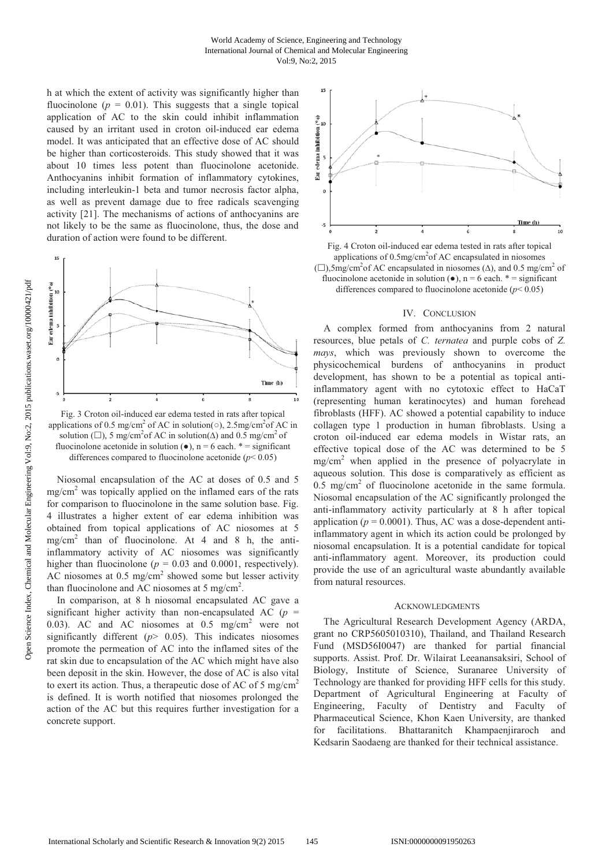h at which the extent of activity was significantly higher than fluocinolone ( $p = 0.01$ ). This suggests that a single topical application of AC to the skin could inhibit inflammation caused by an irritant used in croton oil-induced ear edema model. It was anticipated that an effective dose of AC should be higher than corticosteroids. This study showed that it was about 10 times less potent than fluocinolone acetonide. Anthocyanins inhibit formation of inflammatory cytokines, including interleukin-1 beta and tumor necrosis factor alpha, as well as prevent damage due to free radicals scavenging activity [21]. The mechanisms of actions of anthocyanins are not likely to be the same as fluocinolone, thus, the dose and duration of action were found to be different.



Fig. 3 Croton oil-induced ear edema tested in rats after topical applications of 0.5 mg/cm<sup>2</sup> of AC in solution( $\circ$ ), 2.5mg/cm<sup>2</sup> of AC in solution ( $\Box$ ), 5 mg/cm<sup>2</sup> of AC in solution( $\Delta$ ) and 0.5 mg/cm<sup>2</sup> of fluocinolone acetonide in solution  $(\bullet)$ , n = 6 each. \* = significant differences compared to fluocinolone acetonide (*p*< 0.05)

Niosomal encapsulation of the AC at doses of 0.5 and 5  $mg/cm<sup>2</sup>$  was topically applied on the inflamed ears of the rats for comparison to fluocinolone in the same solution base. Fig. 4 illustrates a higher extent of ear edema inhibition was obtained from topical applications of AC niosomes at 5 mg/cm2 than of fluocinolone. At 4 and 8 h, the antiinflammatory activity of AC niosomes was significantly higher than fluocinolone ( $p = 0.03$  and 0.0001, respectively). AC niosomes at  $0.5 \text{ mg/cm}^2$  showed some but lesser activity than fluocinolone and AC niosomes at  $5 \text{ mg/cm}^2$ .

In comparison, at 8 h niosomal encapsulated AC gave a significant higher activity than non-encapsulated AC  $(p =$ 0.03). AC and AC niosomes at  $0.5$  mg/cm<sup>2</sup> were not significantly different  $(p > 0.05)$ . This indicates niosomes promote the permeation of AC into the inflamed sites of the rat skin due to encapsulation of the AC which might have also been deposit in the skin. However, the dose of AC is also vital to exert its action. Thus, a therapeutic dose of AC of 5 mg/cm<sup>2</sup> is defined. It is worth notified that niosomes prolonged the action of the AC but this requires further investigation for a concrete support.



Fig. 4 Croton oil-induced ear edema tested in rats after topical applications of 0.5mg/cm<sup>2</sup>of AC encapsulated in niosomes (□),5mg/cm<sup>2</sup> of AC encapsulated in niosomes ( $Δ$ ), and 0.5 mg/cm<sup>2</sup> of fluocinolone acetonide in solution  $(\bullet)$ , n = 6 each. \* = significant differences compared to fluocinolone acetonide  $(p< 0.05)$ 

## IV. CONCLUSION

A complex formed from anthocyanins from 2 natural resources, blue petals of *C. ternatea* and purple cobs of *Z. mays*, which was previously shown to overcome the physicochemical burdens of anthocyanins in product development, has shown to be a potential as topical antiinflammatory agent with no cytotoxic effect to HaCaT (representing human keratinocytes) and human forehead fibroblasts (HFF). AC showed a potential capability to induce collagen type 1 production in human fibroblasts. Using a croton oil-induced ear edema models in Wistar rats, an effective topical dose of the AC was determined to be 5 mg/cm2 when applied in the presence of polyacrylate in aqueous solution. This dose is comparatively as efficient as  $0.5$  mg/cm<sup>2</sup> of fluocinolone acetonide in the same formula. Niosomal encapsulation of the AC significantly prolonged the anti-inflammatory activity particularly at 8 h after topical application ( $p = 0.0001$ ). Thus, AC was a dose-dependent antiinflammatory agent in which its action could be prolonged by niosomal encapsulation. It is a potential candidate for topical anti-inflammatory agent. Moreover, its production could provide the use of an agricultural waste abundantly available from natural resources.

#### A CKNOWLEDGMENTS

The Agricultural Research Development Agency (ARDA, grant no CRP5605010310), Thailand, and Thailand Research Fund (MSD56I0047) are thanked for partial financial supports. Assist. Prof. Dr. Wilairat Leeanansaksiri, School of Biology, Institute of Science, Suranaree University of Technology are thanked for providing HFF cells for this study. Department of Agricultural Engineering at Faculty of Engineering, Faculty of Dentistry and Faculty of Pharmaceutical Science, Khon Kaen University, are thanked for facilitations. Bhattaranitch Khampaenjiraroch and Kedsarin Saodaeng are thanked for their technical assistance.